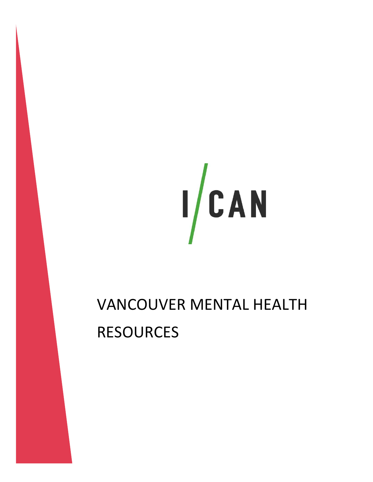

## VANCOUVER MENTAL HEALTH RESOURCES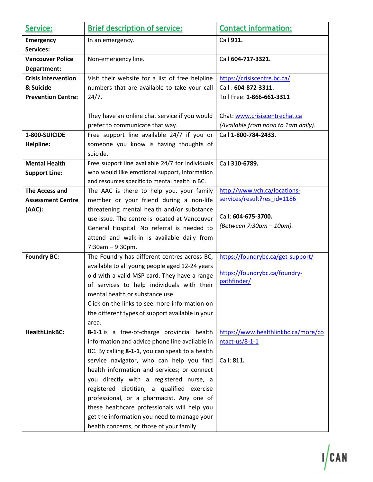| Service:                   | <b>Brief description of service:</b>                                                           | <b>Contact information:</b>         |
|----------------------------|------------------------------------------------------------------------------------------------|-------------------------------------|
| <b>Emergency</b>           | In an emergency.                                                                               | Call 911.                           |
| <b>Services:</b>           |                                                                                                |                                     |
| <b>Vancouver Police</b>    | Non-emergency line.                                                                            | Call 604-717-3321.                  |
| Department:                |                                                                                                |                                     |
| <b>Crisis Intervention</b> | Visit their website for a list of free helpline                                                | https://crisiscentre.bc.ca/         |
| & Suicide                  | numbers that are available to take your call                                                   | Call: 604-872-3311.                 |
| <b>Prevention Centre:</b>  | 24/7.                                                                                          | Toll Free: 1-866-661-3311           |
|                            |                                                                                                |                                     |
|                            | They have an online chat service if you would                                                  | Chat: www.crisiscentrechat.ca       |
|                            | prefer to communicate that way.                                                                | (Available from noon to 1am daily). |
| 1-800-SUICIDE              | Free support line available 24/7 if you or                                                     | Call 1-800-784-2433.                |
| Helpline:                  | someone you know is having thoughts of                                                         |                                     |
|                            | suicide.                                                                                       |                                     |
| <b>Mental Health</b>       | Free support line available 24/7 for individuals                                               | Call 310-6789.                      |
| <b>Support Line:</b>       | who would like emotional support, information                                                  |                                     |
|                            | and resources specific to mental health in BC.                                                 |                                     |
| <b>The Access and</b>      | The AAC is there to help you, your family                                                      | http://www.vch.ca/locations-        |
| <b>Assessment Centre</b>   | member or your friend during a non-life                                                        | services/result?res_id=1186         |
| (AAC):                     | threatening mental health and/or substance                                                     | Call: 604-675-3700.                 |
|                            | use issue. The centre is located at Vancouver                                                  | (Between 7:30am - 10pm).            |
|                            | General Hospital. No referral is needed to                                                     |                                     |
|                            | attend and walk-in is available daily from                                                     |                                     |
|                            | $7:30am - 9:30pm.$                                                                             |                                     |
| <b>Foundry BC:</b>         | The Foundry has different centres across BC,                                                   | https://foundrybc.ca/get-support/   |
|                            | available to all young people aged 12-24 years<br>old with a valid MSP card. They have a range | https://foundrybc.ca/foundry-       |
|                            | of services to help individuals with their                                                     | pathfinder/                         |
|                            | mental health or substance use.                                                                |                                     |
|                            | Click on the links to see more information on                                                  |                                     |
|                            | the different types of support available in your                                               |                                     |
|                            | area.                                                                                          |                                     |
| <b>HealthLinkBC:</b>       | 8-1-1 is a free-of-charge provincial health                                                    | https://www.healthlinkbc.ca/more/co |
|                            | information and advice phone line available in                                                 | $ntact-us/8-1-1$                    |
|                            | BC. By calling 8-1-1, you can speak to a health                                                |                                     |
|                            | service navigator, who can help you find                                                       | Call: 811.                          |
|                            | health information and services; or connect                                                    |                                     |
|                            | you directly with a registered nurse, a                                                        |                                     |
|                            | registered dietitian, a qualified exercise                                                     |                                     |
|                            | professional, or a pharmacist. Any one of                                                      |                                     |
|                            | these healthcare professionals will help you                                                   |                                     |
|                            | get the information you need to manage your                                                    |                                     |
|                            | health concerns, or those of your family.                                                      |                                     |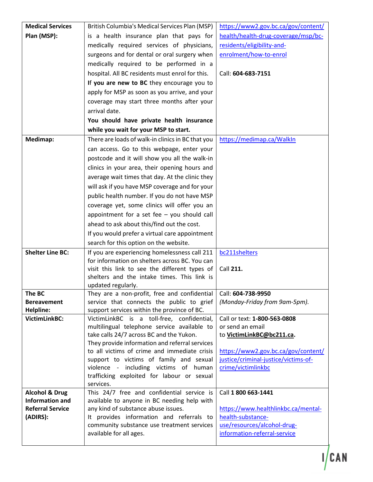| <b>Medical Services</b>                           | British Columbia's Medical Services Plan (MSP)                                                 | https://www2.gov.bc.ca/gov/content/  |
|---------------------------------------------------|------------------------------------------------------------------------------------------------|--------------------------------------|
| Plan (MSP):                                       | is a health insurance plan that pays for                                                       | health/health-drug-coverage/msp/bc-  |
|                                                   | medically required services of physicians,                                                     | residents/eligibility-and-           |
|                                                   | surgeons and for dental or oral surgery when                                                   | enrolment/how-to-enrol               |
|                                                   | medically required to be performed in a                                                        |                                      |
|                                                   | hospital. All BC residents must enrol for this.                                                | Call: 604-683-7151                   |
|                                                   | If you are new to BC they encourage you to                                                     |                                      |
|                                                   | apply for MSP as soon as you arrive, and your                                                  |                                      |
|                                                   | coverage may start three months after your                                                     |                                      |
|                                                   | arrival date.                                                                                  |                                      |
|                                                   | You should have private health insurance                                                       |                                      |
|                                                   | while you wait for your MSP to start.                                                          |                                      |
| Medimap:                                          | There are loads of walk-in clinics in BC that you                                              | https://medimap.ca/WalkIn            |
|                                                   | can access. Go to this webpage, enter your                                                     |                                      |
|                                                   | postcode and it will show you all the walk-in                                                  |                                      |
|                                                   | clinics in your area, their opening hours and                                                  |                                      |
|                                                   | average wait times that day. At the clinic they                                                |                                      |
|                                                   | will ask if you have MSP coverage and for your                                                 |                                      |
|                                                   | public health number. If you do not have MSP                                                   |                                      |
|                                                   | coverage yet, some clinics will offer you an                                                   |                                      |
|                                                   | appointment for a set fee $-$ you should call                                                  |                                      |
|                                                   | ahead to ask about this/find out the cost.                                                     |                                      |
|                                                   | If you would prefer a virtual care appointment                                                 |                                      |
|                                                   | search for this option on the website.                                                         |                                      |
| <b>Shelter Line BC:</b>                           | If you are experiencing homelessness call 211                                                  | bc211shelters                        |
|                                                   | for information on shelters across BC. You can                                                 |                                      |
|                                                   | visit this link to see the different types of                                                  | Call 211.                            |
|                                                   | shelters and the intake times. This link is                                                    |                                      |
| The BC                                            | updated regularly.<br>They are a non-profit, free and confidential   Call: 604-738-9950        |                                      |
| <b>Bereavement</b>                                | service that connects the public to grief                                                      | (Monday-Friday from 9am-5pm).        |
| Helpline:                                         | support services within the province of BC.                                                    |                                      |
| VictimLinkBC:                                     | VictimLinkBC is a toll-free, confidential,                                                     | Call or text: 1-800-563-0808         |
|                                                   | multilingual telephone service available to                                                    | or send an email                     |
|                                                   | take calls 24/7 across BC and the Yukon.                                                       | to VictimLinkBC@bc211.ca.            |
|                                                   | They provide information and referral services<br>to all victims of crime and immediate crisis | https://www2.gov.bc.ca/gov/content/  |
|                                                   | support to victims of family and sexual                                                        | justice/criminal-justice/victims-of- |
|                                                   | violence - including victims of human                                                          | crime/victimlinkbc                   |
|                                                   | trafficking exploited for labour or sexual                                                     |                                      |
|                                                   | services.                                                                                      |                                      |
| <b>Alcohol &amp; Drug</b>                         | This 24/7 free and confidential service is                                                     | Call 1 800 663-1441                  |
| <b>Information and</b><br><b>Referral Service</b> | available to anyone in BC needing help with<br>any kind of substance abuse issues.             | https://www.healthlinkbc.ca/mental-  |
| (ADIRS):                                          | It provides information and referrals to                                                       | health-substance-                    |
|                                                   | community substance use treatment services                                                     | use/resources/alcohol-drug-          |
|                                                   | available for all ages.                                                                        | information-referral-service         |
|                                                   |                                                                                                |                                      |